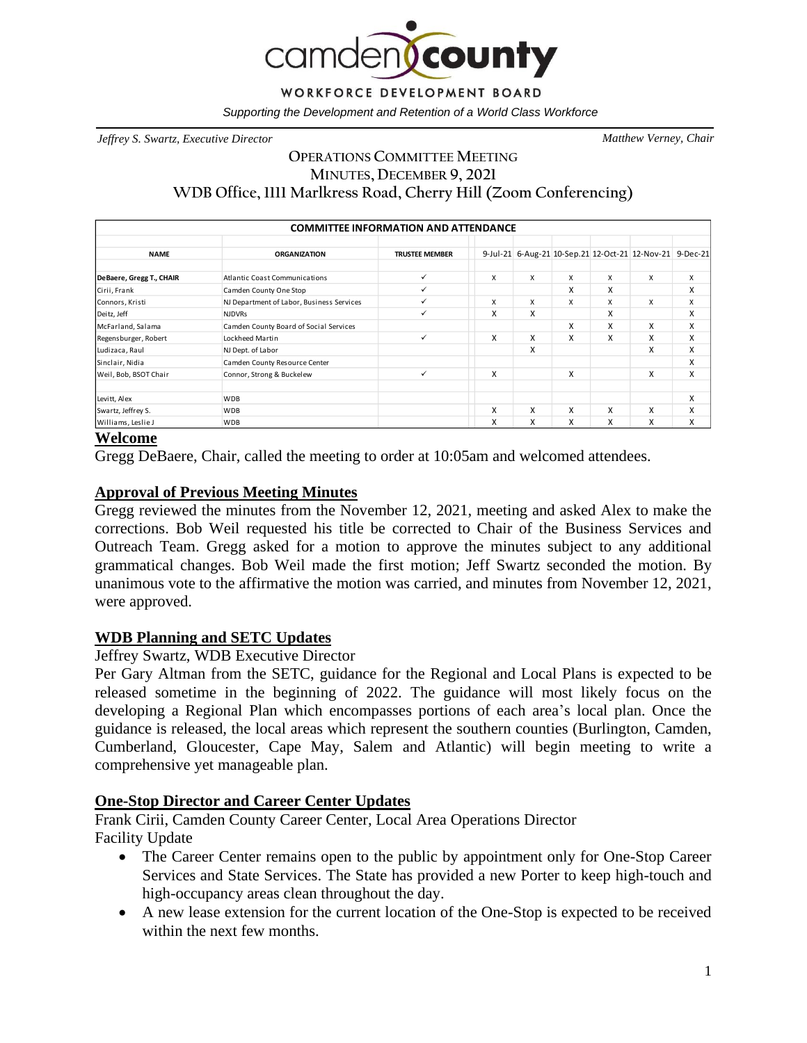

*Supporting the Development and Retention of a World Class Workforce*

*Jeffrey S. Swartz, Executive Director Matthew Verney, Chair*

# **OPERATIONS COMMITTEE MEETING MINUTES, DECEMBER 9, 2021 WDB Office, 1111 Marlkress Road, Cherry Hill (Zoom Conferencing)**

| <b>COMMITTEE INFORMATION AND ATTENDANCE</b> |                                           |                       |   |   |   |   |                                                          |   |
|---------------------------------------------|-------------------------------------------|-----------------------|---|---|---|---|----------------------------------------------------------|---|
| <b>NAME</b>                                 | <b>ORGANIZATION</b>                       | <b>TRUSTEE MEMBER</b> |   |   |   |   | 9-Jul-21 6-Aug-21 10-Sep.21 12-Oct-21 12-Nov-21 9-Dec-21 |   |
| DeBaere, Gregg T., CHAIR                    | Atlantic Coast Communications             | ✓                     | x | x | X | X | X                                                        | X |
| Cirii, Frank                                | Camden County One Stop                    | ✓                     |   |   | X | X |                                                          | X |
| Connors, Kristi                             | NJ Department of Labor, Business Services | ✓                     | X | X | X | X | X                                                        | X |
| Deitz, Jeff                                 | <b>NJDVRs</b>                             | ✓                     | Χ | x |   | X |                                                          | x |
| McFarland, Salama                           | Camden County Board of Social Services    |                       |   |   | X | X | X                                                        | X |
| Regensburger, Robert                        | Lockheed Martin                           | ✓                     | x | x | X | X | X                                                        | x |
| Ludizaca, Raul                              | NJ Dept. of Labor                         |                       |   | x |   |   | X                                                        | x |
| Sinclair, Nidia                             | Camden County Resource Center             |                       |   |   |   |   |                                                          | X |
| Weil, Bob, BSOT Chair                       | Connor, Strong & Buckelew                 | $\checkmark$          | X |   | X |   | X                                                        | X |
| Levitt, Alex                                | <b>WDB</b>                                |                       |   |   |   |   |                                                          | X |
| Swartz, Jeffrey S.                          | <b>WDB</b>                                |                       | X | x | X | X | X                                                        | X |
| Williams, Leslie J                          | <b>WDB</b>                                |                       | x | x | X | X | X                                                        | X |

## **Welcome**

Gregg DeBaere, Chair, called the meeting to order at 10:05am and welcomed attendees.

## **Approval of Previous Meeting Minutes**

Gregg reviewed the minutes from the November 12, 2021, meeting and asked Alex to make the corrections. Bob Weil requested his title be corrected to Chair of the Business Services and Outreach Team. Gregg asked for a motion to approve the minutes subject to any additional grammatical changes. Bob Weil made the first motion; Jeff Swartz seconded the motion. By unanimous vote to the affirmative the motion was carried, and minutes from November 12, 2021, were approved.

### **WDB Planning and SETC Updates**

### Jeffrey Swartz, WDB Executive Director

Per Gary Altman from the SETC, guidance for the Regional and Local Plans is expected to be released sometime in the beginning of 2022. The guidance will most likely focus on the developing a Regional Plan which encompasses portions of each area's local plan. Once the guidance is released, the local areas which represent the southern counties (Burlington, Camden, Cumberland, Gloucester, Cape May, Salem and Atlantic) will begin meeting to write a comprehensive yet manageable plan.

### **One-Stop Director and Career Center Updates**

Frank Cirii, Camden County Career Center, Local Area Operations Director Facility Update

- The Career Center remains open to the public by appointment only for One-Stop Career Services and State Services. The State has provided a new Porter to keep high-touch and high-occupancy areas clean throughout the day.
- A new lease extension for the current location of the One-Stop is expected to be received within the next few months.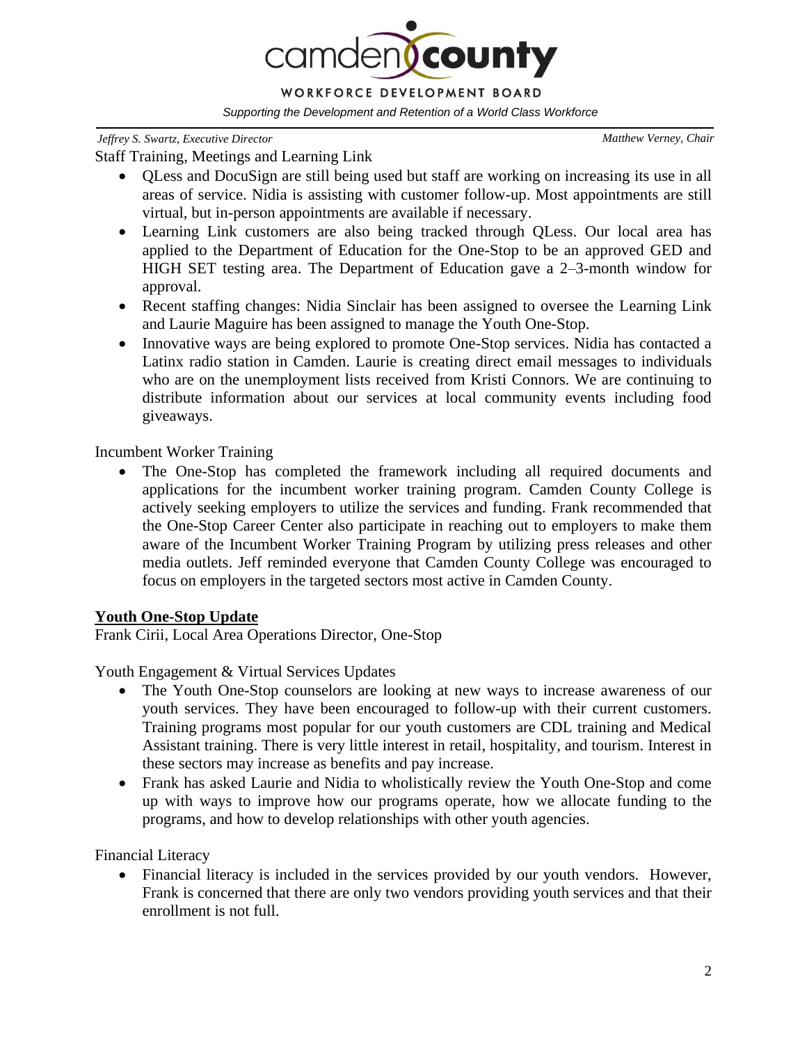

#### *Jeffrey S. Swartz, Executive Director Matthew Verney, Chair*

Staff Training, Meetings and Learning Link

- QLess and DocuSign are still being used but staff are working on increasing its use in all areas of service. Nidia is assisting with customer follow-up. Most appointments are still virtual, but in-person appointments are available if necessary.
- Learning Link customers are also being tracked through QLess. Our local area has applied to the Department of Education for the One-Stop to be an approved GED and HIGH SET testing area. The Department of Education gave a 2–3-month window for approval.
- Recent staffing changes: Nidia Sinclair has been assigned to oversee the Learning Link and Laurie Maguire has been assigned to manage the Youth One-Stop.
- Innovative ways are being explored to promote One-Stop services. Nidia has contacted a Latinx radio station in Camden. Laurie is creating direct email messages to individuals who are on the unemployment lists received from Kristi Connors. We are continuing to distribute information about our services at local community events including food giveaways.

Incumbent Worker Training

• The One-Stop has completed the framework including all required documents and applications for the incumbent worker training program. Camden County College is actively seeking employers to utilize the services and funding. Frank recommended that the One-Stop Career Center also participate in reaching out to employers to make them aware of the Incumbent Worker Training Program by utilizing press releases and other media outlets. Jeff reminded everyone that Camden County College was encouraged to focus on employers in the targeted sectors most active in Camden County.

# **Youth One-Stop Update**

Frank Cirii, Local Area Operations Director, One-Stop

Youth Engagement & Virtual Services Updates

- The Youth One-Stop counselors are looking at new ways to increase awareness of our youth services. They have been encouraged to follow-up with their current customers. Training programs most popular for our youth customers are CDL training and Medical Assistant training. There is very little interest in retail, hospitality, and tourism. Interest in these sectors may increase as benefits and pay increase.
- Frank has asked Laurie and Nidia to wholistically review the Youth One-Stop and come up with ways to improve how our programs operate, how we allocate funding to the programs, and how to develop relationships with other youth agencies.

Financial Literacy

• Financial literacy is included in the services provided by our youth vendors. However, Frank is concerned that there are only two vendors providing youth services and that their enrollment is not full.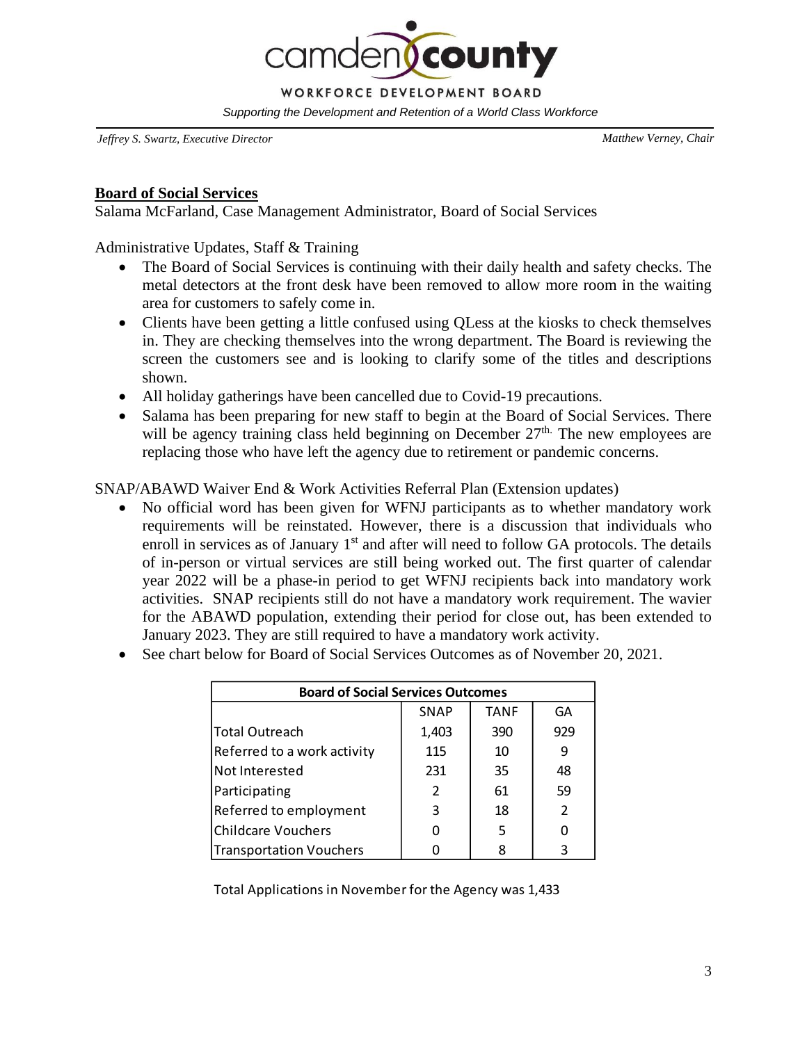**Ocounty** WORKFORCE DEVELOPMENT BOARD *Supporting the Development and Retention of a World Class Workforce*

*Jeffrey S. Swartz, Executive Director Matthew Verney, Chair*

#### **Board of Social Services**

Salama McFarland, Case Management Administrator, Board of Social Services

Administrative Updates, Staff & Training

- The Board of Social Services is continuing with their daily health and safety checks. The metal detectors at the front desk have been removed to allow more room in the waiting area for customers to safely come in.
- Clients have been getting a little confused using QLess at the kiosks to check themselves in. They are checking themselves into the wrong department. The Board is reviewing the screen the customers see and is looking to clarify some of the titles and descriptions shown.
- All holiday gatherings have been cancelled due to Covid-19 precautions.
- Salama has been preparing for new staff to begin at the Board of Social Services. There will be agency training class held beginning on December  $27<sup>th</sup>$ . The new employees are replacing those who have left the agency due to retirement or pandemic concerns.

## SNAP/ABAWD Waiver End & Work Activities Referral Plan (Extension updates)

- No official word has been given for WFNJ participants as to whether mandatory work requirements will be reinstated. However, there is a discussion that individuals who enroll in services as of January  $1<sup>st</sup>$  and after will need to follow GA protocols. The details of in-person or virtual services are still being worked out. The first quarter of calendar year 2022 will be a phase-in period to get WFNJ recipients back into mandatory work activities. SNAP recipients still do not have a mandatory work requirement. The wavier for the ABAWD population, extending their period for close out, has been extended to January 2023. They are still required to have a mandatory work activity.
- See chart below for Board of Social Services Outcomes as of November 20, 2021.

| <b>Board of Social Services Outcomes</b> |                |             |               |  |  |  |  |  |
|------------------------------------------|----------------|-------------|---------------|--|--|--|--|--|
|                                          | <b>SNAP</b>    | <b>TANF</b> | GA            |  |  |  |  |  |
| Total Outreach                           | 1,403          | 390         | 929           |  |  |  |  |  |
| Referred to a work activity              | 115            | 10          | 9             |  |  |  |  |  |
| Not Interested                           | 231            | 35          | 48            |  |  |  |  |  |
| Participating                            | $\overline{2}$ | 61          | 59            |  |  |  |  |  |
| Referred to employment                   | 3              | 18          | $\mathcal{P}$ |  |  |  |  |  |
| <b>Childcare Vouchers</b>                |                | 5           |               |  |  |  |  |  |
| Transportation Vouchers                  |                |             | ς             |  |  |  |  |  |

Total Applications in November for the Agency was 1,433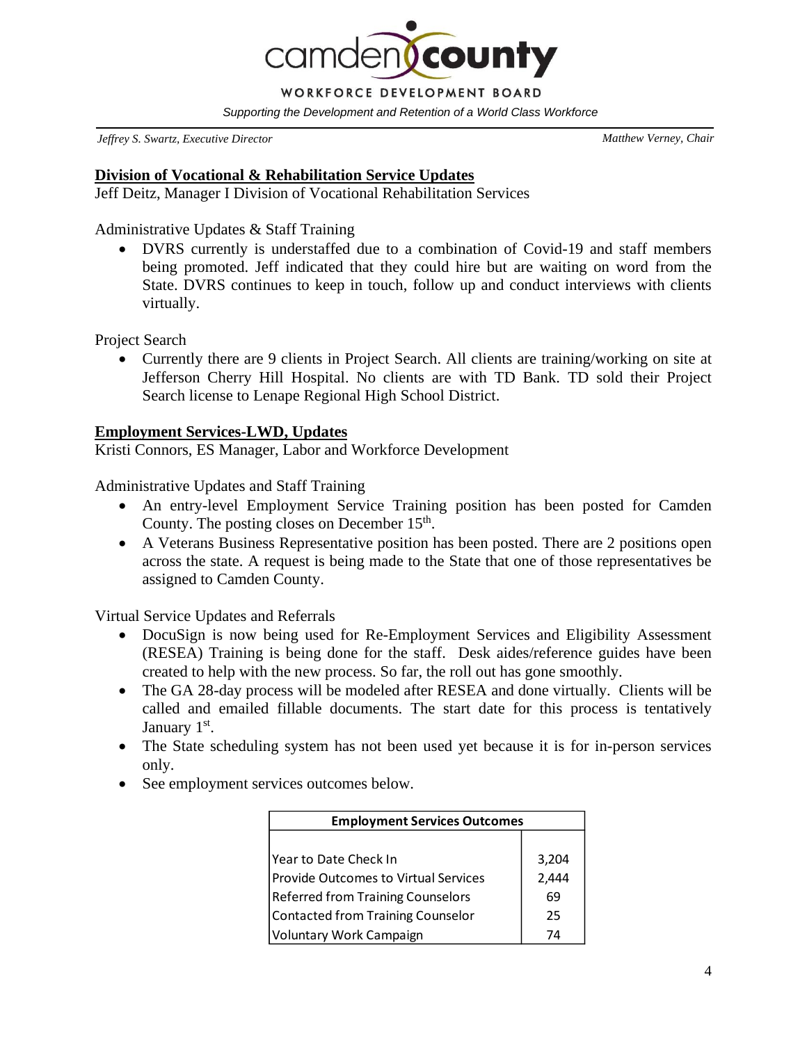**D**county WORKFORCE DEVELOPMENT BOARD *Supporting the Development and Retention of a World Class Workforce*

*Jeffrey S. Swartz, Executive Director Matthew Verney, Chair*

#### **Division of Vocational & Rehabilitation Service Updates**

Jeff Deitz, Manager I Division of Vocational Rehabilitation Services

Administrative Updates & Staff Training

• DVRS currently is understaffed due to a combination of Covid-19 and staff members being promoted. Jeff indicated that they could hire but are waiting on word from the State. DVRS continues to keep in touch, follow up and conduct interviews with clients virtually.

Project Search

• Currently there are 9 clients in Project Search. All clients are training/working on site at Jefferson Cherry Hill Hospital. No clients are with TD Bank. TD sold their Project Search license to Lenape Regional High School District.

#### **Employment Services-LWD, Updates**

Kristi Connors, ES Manager, Labor and Workforce Development

Administrative Updates and Staff Training

- An entry-level Employment Service Training position has been posted for Camden County. The posting closes on December  $15<sup>th</sup>$ .
- A Veterans Business Representative position has been posted. There are 2 positions open across the state. A request is being made to the State that one of those representatives be assigned to Camden County.

Virtual Service Updates and Referrals

- DocuSign is now being used for Re-Employment Services and Eligibility Assessment (RESEA) Training is being done for the staff. Desk aides/reference guides have been created to help with the new process. So far, the roll out has gone smoothly.
- The GA 28-day process will be modeled after RESEA and done virtually. Clients will be called and emailed fillable documents. The start date for this process is tentatively January 1<sup>st</sup>.
- The State scheduling system has not been used yet because it is for in-person services only.
- See employment services outcomes below.

| <b>Employment Services Outcomes</b>         |       |  |  |  |  |
|---------------------------------------------|-------|--|--|--|--|
|                                             |       |  |  |  |  |
| lYear to Date Check In                      | 3,204 |  |  |  |  |
| <b>Provide Outcomes to Virtual Services</b> | 2,444 |  |  |  |  |
| <b>Referred from Training Counselors</b>    | 69    |  |  |  |  |
| Contacted from Training Counselor           | 25    |  |  |  |  |
| Voluntary Work Campaign                     | 74    |  |  |  |  |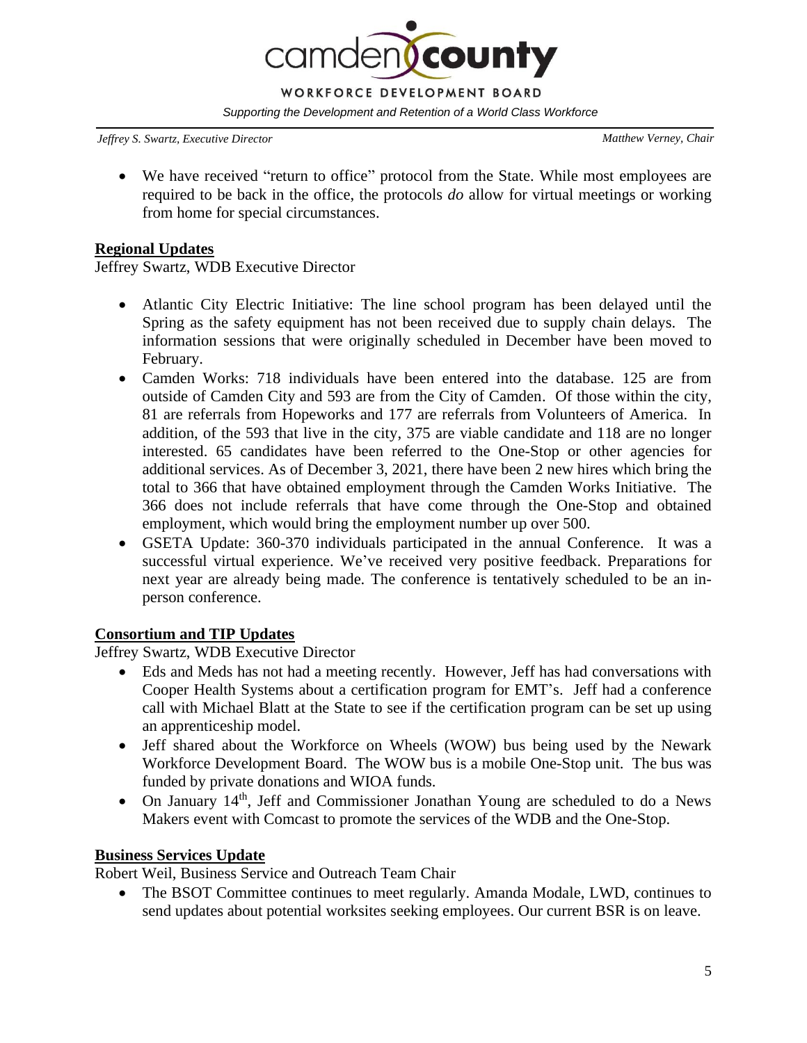

*Jeffrey S. Swartz, Executive Director Matthew Verney, Chair*

• We have received "return to office" protocol from the State. While most employees are required to be back in the office, the protocols *do* allow for virtual meetings or working from home for special circumstances.

### **Regional Updates**

Jeffrey Swartz, WDB Executive Director

- Atlantic City Electric Initiative: The line school program has been delayed until the Spring as the safety equipment has not been received due to supply chain delays. The information sessions that were originally scheduled in December have been moved to February.
- Camden Works: 718 individuals have been entered into the database. 125 are from outside of Camden City and 593 are from the City of Camden. Of those within the city, 81 are referrals from Hopeworks and 177 are referrals from Volunteers of America. In addition, of the 593 that live in the city, 375 are viable candidate and 118 are no longer interested. 65 candidates have been referred to the One-Stop or other agencies for additional services. As of December 3, 2021, there have been 2 new hires which bring the total to 366 that have obtained employment through the Camden Works Initiative. The 366 does not include referrals that have come through the One-Stop and obtained employment, which would bring the employment number up over 500.
- GSETA Update: 360-370 individuals participated in the annual Conference. It was a successful virtual experience. We've received very positive feedback. Preparations for next year are already being made. The conference is tentatively scheduled to be an inperson conference.

# **Consortium and TIP Updates**

Jeffrey Swartz, WDB Executive Director

- Eds and Meds has not had a meeting recently. However, Jeff has had conversations with Cooper Health Systems about a certification program for EMT's. Jeff had a conference call with Michael Blatt at the State to see if the certification program can be set up using an apprenticeship model.
- Jeff shared about the Workforce on Wheels (WOW) bus being used by the Newark Workforce Development Board. The WOW bus is a mobile One-Stop unit. The bus was funded by private donations and WIOA funds.
- On January 14<sup>th</sup>, Jeff and Commissioner Jonathan Young are scheduled to do a News Makers event with Comcast to promote the services of the WDB and the One-Stop.

# **Business Services Update**

Robert Weil, Business Service and Outreach Team Chair

• The BSOT Committee continues to meet regularly. Amanda Modale, LWD, continues to send updates about potential worksites seeking employees. Our current BSR is on leave.